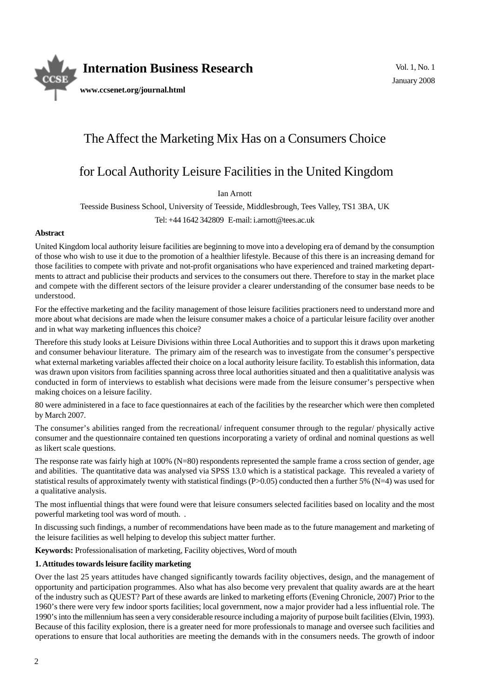

# The Affect the Marketing Mix Has on a Consumers Choice

# for Local Authority Leisure Facilities in the United Kingdom

Ian Arnott

Teesside Business School, University of Teesside, Middlesbrough, Tees Valley, TS1 3BA, UK

Tel: +44 1642 342809 E-mail: i.arnott@tees.ac.uk

# **Abstract**

United Kingdom local authority leisure facilities are beginning to move into a developing era of demand by the consumption of those who wish to use it due to the promotion of a healthier lifestyle. Because of this there is an increasing demand for those facilities to compete with private and not-profit organisations who have experienced and trained marketing departments to attract and publicise their products and services to the consumers out there. Therefore to stay in the market place and compete with the different sectors of the leisure provider a clearer understanding of the consumer base needs to be understood.

For the effective marketing and the facility management of those leisure facilities practioners need to understand more and more about what decisions are made when the leisure consumer makes a choice of a particular leisure facility over another and in what way marketing influences this choice?

Therefore this study looks at Leisure Divisions within three Local Authorities and to support this it draws upon marketing and consumer behaviour literature. The primary aim of the research was to investigate from the consumer's perspective what external marketing variables affected their choice on a local authority leisure facility. To establish this information, data was drawn upon visitors from facilities spanning across three local authorities situated and then a qualititative analysis was conducted in form of interviews to establish what decisions were made from the leisure consumer's perspective when making choices on a leisure facility.

80 were administered in a face to face questionnaires at each of the facilities by the researcher which were then completed by March 2007.

The consumer's abilities ranged from the recreational/ infrequent consumer through to the regular/ physically active consumer and the questionnaire contained ten questions incorporating a variety of ordinal and nominal questions as well as likert scale questions.

The response rate was fairly high at 100% (N=80) respondents represented the sample frame a cross section of gender, age and abilities. The quantitative data was analysed via SPSS 13.0 which is a statistical package. This revealed a variety of statistical results of approximately twenty with statistical findings (P $>0.05$ ) conducted then a further 5% (N=4) was used for a qualitative analysis.

The most influential things that were found were that leisure consumers selected facilities based on locality and the most powerful marketing tool was word of mouth. .

In discussing such findings, a number of recommendations have been made as to the future management and marketing of the leisure facilities as well helping to develop this subject matter further.

**Keywords:** Professionalisation of marketing, Facility objectives, Word of mouth

# **1. Attitudes towards leisure facility marketing**

Over the last 25 years attitudes have changed significantly towards facility objectives, design, and the management of opportunity and participation programmes. Also what has also become very prevalent that quality awards are at the heart of the industry such as QUEST? Part of these awards are linked to marketing efforts (Evening Chronicle, 2007) Prior to the 1960's there were very few indoor sports facilities; local government, now a major provider had a less influential role. The 1990's into the millennium has seen a very considerable resource including a majority of purpose built facilities (Elvin, 1993). Because of this facility explosion, there is a greater need for more professionals to manage and oversee such facilities and operations to ensure that local authorities are meeting the demands with in the consumers needs. The growth of indoor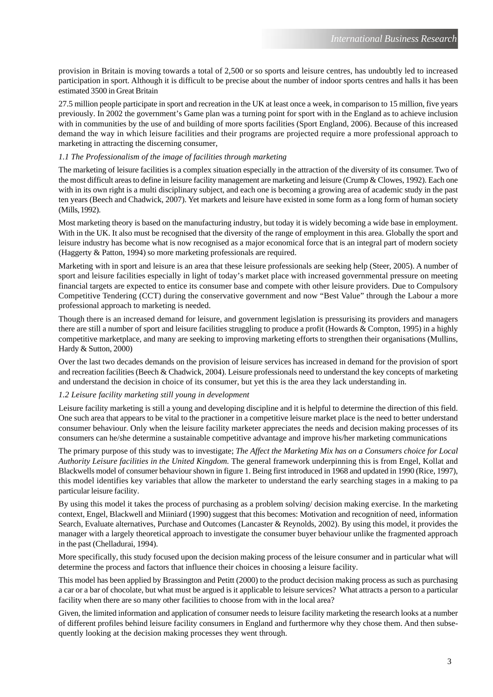provision in Britain is moving towards a total of 2,500 or so sports and leisure centres, has undoubtly led to increased participation in sport. Although it is difficult to be precise about the number of indoor sports centres and halls it has been estimated 3500 in Great Britain

27.5 million people participate in sport and recreation in the UK at least once a week, in comparison to 15 million, five years previously. In 2002 the government's Game plan was a turning point for sport with in the England as to achieve inclusion with in communities by the use of and building of more sports facilities (Sport England, 2006). Because of this increased demand the way in which leisure facilities and their programs are projected require a more professional approach to marketing in attracting the discerning consumer,

## *1.1 The Professionalism of the image of facilities through marketing*

The marketing of leisure facilities is a complex situation especially in the attraction of the diversity of its consumer. Two of the most difficult areas to define in leisure facility management are marketing and leisure (Crump & Clowes, 1992). Each one with in its own right is a multi disciplinary subject, and each one is becoming a growing area of academic study in the past ten years (Beech and Chadwick, 2007). Yet markets and leisure have existed in some form as a long form of human society (Mills, 1992).

Most marketing theory is based on the manufacturing industry, but today it is widely becoming a wide base in employment. With in the UK. It also must be recognised that the diversity of the range of employment in this area. Globally the sport and leisure industry has become what is now recognised as a major economical force that is an integral part of modern society (Haggerty & Patton, 1994) so more marketing professionals are required.

Marketing with in sport and leisure is an area that these leisure professionals are seeking help (Steer, 2005). A number of sport and leisure facilities especially in light of today's market place with increased governmental pressure on meeting financial targets are expected to entice its consumer base and compete with other leisure providers. Due to Compulsory Competitive Tendering (CCT) during the conservative government and now "Best Value" through the Labour a more professional approach to marketing is needed.

Though there is an increased demand for leisure, and government legislation is pressurising its providers and managers there are still a number of sport and leisure facilities struggling to produce a profit (Howards & Compton, 1995) in a highly competitive marketplace, and many are seeking to improving marketing efforts to strengthen their organisations (Mullins, Hardy & Sutton, 2000)

Over the last two decades demands on the provision of leisure services has increased in demand for the provision of sport and recreation facilities (Beech & Chadwick, 2004). Leisure professionals need to understand the key concepts of marketing and understand the decision in choice of its consumer, but yet this is the area they lack understanding in.

# *1.2 Leisure facility marketing still young in development*

Leisure facility marketing is still a young and developing discipline and it is helpful to determine the direction of this field. One such area that appears to be vital to the practioner in a competitive leisure market place is the need to better understand consumer behaviour. Only when the leisure facility marketer appreciates the needs and decision making processes of its consumers can he/she determine a sustainable competitive advantage and improve his/her marketing communications

The primary purpose of this study was to investigate; *The Affect the Marketing Mix has on a Consumers choice for Local Authority Leisure facilities in the United Kingdom.* The general framework underpinning this is from Engel, Kollat and Blackwells model of consumer behaviour shown in figure 1. Being first introduced in 1968 and updated in 1990 (Rice, 1997), this model identifies key variables that allow the marketer to understand the early searching stages in a making to pa particular leisure facility.

By using this model it takes the process of purchasing as a problem solving/ decision making exercise. In the marketing context, Engel, Blackwell and Miiniard (1990) suggest that this becomes: Motivation and recognition of need, information Search, Evaluate alternatives, Purchase and Outcomes (Lancaster & Reynolds, 2002). By using this model, it provides the manager with a largely theoretical approach to investigate the consumer buyer behaviour unlike the fragmented approach in the past (Chelladurai, 1994).

More specifically, this study focused upon the decision making process of the leisure consumer and in particular what will determine the process and factors that influence their choices in choosing a leisure facility.

This model has been applied by Brassington and Petitt (2000) to the product decision making process as such as purchasing a car or a bar of chocolate, but what must be argued is it applicable to leisure services? What attracts a person to a particular facility when there are so many other facilities to choose from with in the local area?

Given, the limited information and application of consumer needs to leisure facility marketing the research looks at a number of different profiles behind leisure facility consumers in England and furthermore why they chose them. And then subsequently looking at the decision making processes they went through.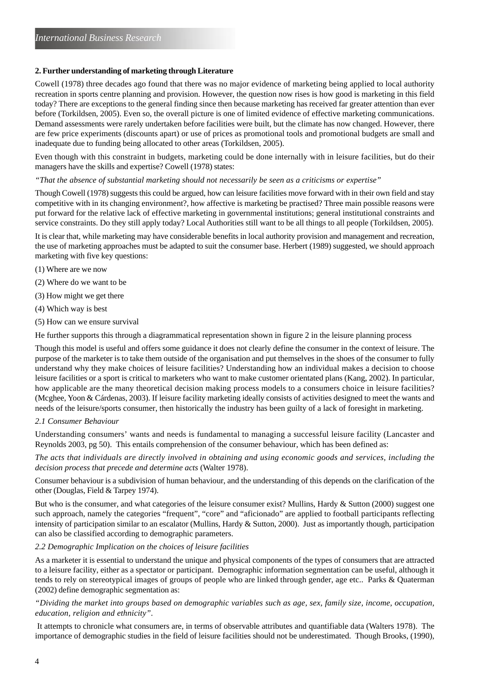# **2. Further understanding of marketing through Literature**

Cowell (1978) three decades ago found that there was no major evidence of marketing being applied to local authority recreation in sports centre planning and provision. However, the question now rises is how good is marketing in this field today? There are exceptions to the general finding since then because marketing has received far greater attention than ever before (Torkildsen, 2005). Even so, the overall picture is one of limited evidence of effective marketing communications. Demand assessments were rarely undertaken before facilities were built, but the climate has now changed. However, there are few price experiments (discounts apart) or use of prices as promotional tools and promotional budgets are small and inadequate due to funding being allocated to other areas (Torkildsen, 2005).

Even though with this constraint in budgets, marketing could be done internally with in leisure facilities, but do their managers have the skills and expertise? Cowell (1978) states:

# *"That the absence of substantial marketing should not necessarily be seen as a criticisms or expertise"*

Though Cowell (1978) suggests this could be argued, how can leisure facilities move forward with in their own field and stay competitive with in its changing environment?, how affective is marketing be practised? Three main possible reasons were put forward for the relative lack of effective marketing in governmental institutions; general institutional constraints and service constraints. Do they still apply today? Local Authorities still want to be all things to all people (Torkildsen, 2005).

It is clear that, while marketing may have considerable benefits in local authority provision and management and recreation, the use of marketing approaches must be adapted to suit the consumer base. Herbert (1989) suggested, we should approach marketing with five key questions:

- (1) Where are we now
- (2) Where do we want to be
- (3) How might we get there
- (4) Which way is best
- (5) How can we ensure survival
- He further supports this through a diagrammatical representation shown in figure 2 in the leisure planning process

Though this model is useful and offers some guidance it does not clearly define the consumer in the context of leisure. The purpose of the marketer is to take them outside of the organisation and put themselves in the shoes of the consumer to fully understand why they make choices of leisure facilities? Understanding how an individual makes a decision to choose leisure facilities or a sport is critical to marketers who want to make customer orientated plans (Kang, 2002). In particular, how applicable are the many theoretical decision making process models to a consumers choice in leisure facilities? (Mcghee, Yoon & Cárdenas, 2003). If leisure facility marketing ideally consists of activities designed to meet the wants and needs of the leisure/sports consumer, then historically the industry has been guilty of a lack of foresight in marketing.

# *2.1 Consumer Behaviour*

Understanding consumers' wants and needs is fundamental to managing a successful leisure facility (Lancaster and Reynolds 2003, pg 50). This entails comprehension of the consumer behaviour, which has been defined as:

*The acts that individuals are directly involved in obtaining and using economic goods and services, including the decision process that precede and determine acts* (Walter 1978).

Consumer behaviour is a subdivision of human behaviour, and the understanding of this depends on the clarification of the other (Douglas, Field & Tarpey 1974).

But who is the consumer, and what categories of the leisure consumer exist? Mullins, Hardy & Sutton (2000) suggest one such approach, namely the categories "frequent", "core" and "aficionado" are applied to football participants reflecting intensity of participation similar to an escalator (Mullins, Hardy & Sutton, 2000). Just as importantly though, participation can also be classified according to demographic parameters.

# *2.2 Demographic Implication on the choices of leisure facilities*

As a marketer it is essential to understand the unique and physical components of the types of consumers that are attracted to a leisure facility, either as a spectator or participant. Demographic information segmentation can be useful, although it tends to rely on stereotypical images of groups of people who are linked through gender, age etc.. Parks & Quaterman (2002) define demographic segmentation as:

*"Dividing the market into groups based on demographic variables such as age, sex, family size, income, occupation, education, religion and ethnicity".*

 It attempts to chronicle what consumers are, in terms of observable attributes and quantifiable data (Walters 1978). The importance of demographic studies in the field of leisure facilities should not be underestimated. Though Brooks, (1990),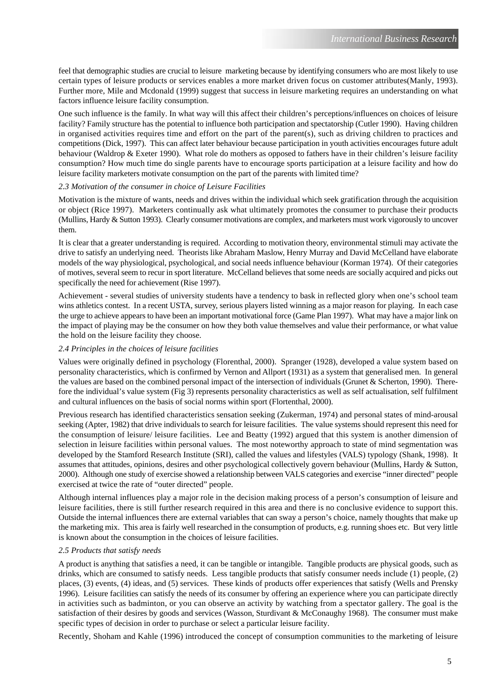feel that demographic studies are crucial to leisure marketing because by identifying consumers who are most likely to use certain types of leisure products or services enables a more market driven focus on customer attributes(Manly, 1993). Further more, Mile and Mcdonald (1999) suggest that success in leisure marketing requires an understanding on what factors influence leisure facility consumption.

One such influence is the family. In what way will this affect their children's perceptions/influences on choices of leisure facility? Family structure has the potential to influence both participation and spectatorship (Cutler 1990). Having children in organised activities requires time and effort on the part of the parent(s), such as driving children to practices and competitions (Dick, 1997). This can affect later behaviour because participation in youth activities encourages future adult behaviour (Waldrop & Exeter 1990). What role do mothers as opposed to fathers have in their children's leisure facility consumption? How much time do single parents have to encourage sports participation at a leisure facility and how do leisure facility marketers motivate consumption on the part of the parents with limited time?

## *2.3 Motivation of the consumer in choice of Leisure Facilities*

Motivation is the mixture of wants, needs and drives within the individual which seek gratification through the acquisition or object (Rice 1997). Marketers continually ask what ultimately promotes the consumer to purchase their products (Mullins, Hardy & Sutton 1993). Clearly consumer motivations are complex, and marketers must work vigorously to uncover them.

It is clear that a greater understanding is required. According to motivation theory, environmental stimuli may activate the drive to satisfy an underlying need. Theorists like Abraham Maslow, Henry Murray and David McCelland have elaborate models of the way physiological, psychological, and social needs influence behaviour (Korman 1974). Of their categories of motives, several seem to recur in sport literature. McCelland believes that some needs are socially acquired and picks out specifically the need for achievement (Rise 1997).

Achievement - several studies of university students have a tendency to bask in reflected glory when one's school team wins athletics contest. In a recent USTA, survey, serious players listed winning as a major reason for playing. In each case the urge to achieve appears to have been an important motivational force (Game Plan 1997). What may have a major link on the impact of playing may be the consumer on how they both value themselves and value their performance, or what value the hold on the leisure facility they choose.

## *2.4 Principles in the choices of leisure facilities*

Values were originally defined in psychology (Florenthal, 2000). Spranger (1928), developed a value system based on personality characteristics, which is confirmed by Vernon and Allport (1931) as a system that generalised men. In general the values are based on the combined personal impact of the intersection of individuals (Grunet & Scherton, 1990). Therefore the individual's value system (Fig 3) represents personality characteristics as well as self actualisation, self fulfilment and cultural influences on the basis of social norms within sport (Flortenthal, 2000).

Previous research has identified characteristics sensation seeking (Zukerman, 1974) and personal states of mind-arousal seeking (Apter, 1982) that drive individuals to search for leisure facilities. The value systems should represent this need for the consumption of leisure/ leisure facilities. Lee and Beatty (1992) argued that this system is another dimension of selection in leisure facilities within personal values. The most noteworthy approach to state of mind segmentation was developed by the Stamford Research Institute (SRI), called the values and lifestyles (VALS) typology (Shank, 1998). It assumes that attitudes, opinions, desires and other psychological collectively govern behaviour (Mullins, Hardy & Sutton, 2000). Although one study of exercise showed a relationship between VALS categories and exercise "inner directed" people exercised at twice the rate of "outer directed" people.

Although internal influences play a major role in the decision making process of a person's consumption of leisure and leisure facilities, there is still further research required in this area and there is no conclusive evidence to support this. Outside the internal influences there are external variables that can sway a person's choice, namely thoughts that make up the marketing mix. This area is fairly well researched in the consumption of products, e.g. running shoes etc. But very little is known about the consumption in the choices of leisure facilities.

#### *2.5 Products that satisfy needs*

A product is anything that satisfies a need, it can be tangible or intangible. Tangible products are physical goods, such as drinks, which are consumed to satisfy needs. Less tangible products that satisfy consumer needs include (1) people, (2) places, (3) events, (4) ideas, and (5) services. These kinds of products offer experiences that satisfy (Wells and Prensky 1996). Leisure facilities can satisfy the needs of its consumer by offering an experience where you can participate directly in activities such as badminton, or you can observe an activity by watching from a spectator gallery. The goal is the satisfaction of their desires by goods and services (Wasson, Sturdivant & McConaughy 1968). The consumer must make specific types of decision in order to purchase or select a particular leisure facility.

Recently, Shoham and Kahle (1996) introduced the concept of consumption communities to the marketing of leisure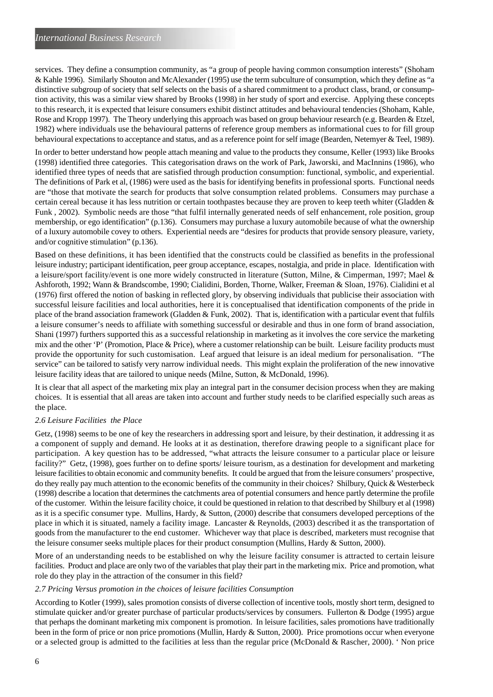# *International Business Research*

services. They define a consumption community, as "a group of people having common consumption interests" (Shoham & Kahle 1996). Similarly Shouton and McAlexander (1995) use the term subculture of consumption, which they define as "a distinctive subgroup of society that self selects on the basis of a shared commitment to a product class, brand, or consumption activity, this was a similar view shared by Brooks (1998) in her study of sport and exercise. Applying these concepts to this research, it is expected that leisure consumers exhibit distinct attitudes and behavioural tendencies (Shoham, Kahle, Rose and Kropp 1997). The Theory underlying this approach was based on group behaviour research (e.g. Bearden & Etzel, 1982) where individuals use the behavioural patterns of reference group members as informational cues to for fill group behavioural expectations to acceptance and status, and as a reference point for self image (Bearden, Netemyer & Teel, 1989).

In order to better understand how people attach meaning and value to the products they consume, Keller (1993) like Brooks (1998) identified three categories. This categorisation draws on the work of Park, Jaworski, and MacInnins (1986), who identified three types of needs that are satisfied through production consumption: functional, symbolic, and experiential. The definitions of Park et al, (1986) were used as the basis for identifying benefits in professional sports. Functional needs are "those that motivate the search for products that solve consumption related problems. Consumers may purchase a certain cereal because it has less nutrition or certain toothpastes because they are proven to keep teeth whiter (Gladden & Funk , 2002). Symbolic needs are those "that fulfil internally generated needs of self enhancement, role position, group membership, or ego identification" (p.136). Consumers may purchase a luxury automobile because of what the ownership of a luxury automobile covey to others. Experiential needs are "desires for products that provide sensory pleasure, variety, and/or cognitive stimulation" (p.136).

Based on these definitions, it has been identified that the constructs could be classified as benefits in the professional leisure industry; participant identification, peer group acceptance, escapes, nostalgia, and pride in place. Identification with a leisure/sport facility/event is one more widely constructed in literature (Sutton, Milne, & Cimperman, 1997; Mael & Ashforoth, 1992; Wann & Brandscombe, 1990; Cialidini, Borden, Thorne, Walker, Freeman & Sloan, 1976). Cialidini et al (1976) first offered the notion of basking in reflected glory, by observing individuals that publicise their association with successful leisure facilities and local authorities, here it is conceptualised that identification components of the pride in place of the brand association framework (Gladden & Funk, 2002). That is, identification with a particular event that fulfils a leisure consumer's needs to affiliate with something successful or desirable and thus in one form of brand association, Shani (1997) furthers supported this as a successful relationship in marketing as it involves the core service the marketing mix and the other 'P' (Promotion, Place & Price), where a customer relationship can be built. Leisure facility products must provide the opportunity for such customisation. Leaf argued that leisure is an ideal medium for personalisation. "The service" can be tailored to satisfy very narrow individual needs. This might explain the proliferation of the new innovative leisure facility ideas that are tailored to unique needs (Milne, Sutton, & McDonald, 1996).

It is clear that all aspect of the marketing mix play an integral part in the consumer decision process when they are making choices. It is essential that all areas are taken into account and further study needs to be clarified especially such areas as the place.

# *2.6 Leisure Facilities the Place*

Getz, (1998) seems to be one of key the researchers in addressing sport and leisure, by their destination, it addressing it as a component of supply and demand. He looks at it as destination, therefore drawing people to a significant place for participation. A key question has to be addressed, "what attracts the leisure consumer to a particular place or leisure facility?" Getz, (1998), goes further on to define sports/ leisure tourism, as a destination for development and marketing leisure facilities to obtain economic and community benefits. It could be argued that from the leisure consumers' prospective, do they really pay much attention to the economic benefits of the community in their choices? Shilbury, Quick & Westerbeck (1998) describe a location that determines the catchments area of potential consumers and hence partly determine the profile of the customer. Within the leisure facility choice, it could be questioned in relation to that described by Shilbury et al (1998) as it is a specific consumer type. Mullins, Hardy, & Sutton, (2000) describe that consumers developed perceptions of the place in which it is situated, namely a facility image. Lancaster & Reynolds, (2003) described it as the transportation of goods from the manufacturer to the end customer. Whichever way that place is described, marketers must recognise that the leisure consumer seeks multiple places for their product consumption (Mullins, Hardy & Sutton, 2000).

More of an understanding needs to be established on why the leisure facility consumer is attracted to certain leisure facilities. Product and place are only two of the variables that play their part in the marketing mix. Price and promotion, what role do they play in the attraction of the consumer in this field?

# *2.7 Pricing Versus promotion in the choices of leisure facilities Consumption*

According to Kotler (1999), sales promotion consists of diverse collection of incentive tools, mostly short term, designed to stimulate quicker and/or greater purchase of particular products/services by consumers. Fullerton & Dodge (1995) argue that perhaps the dominant marketing mix component is promotion. In leisure facilities, sales promotions have traditionally been in the form of price or non price promotions (Mullin, Hardy & Sutton, 2000). Price promotions occur when everyone or a selected group is admitted to the facilities at less than the regular price (McDonald & Rascher, 2000). ' Non price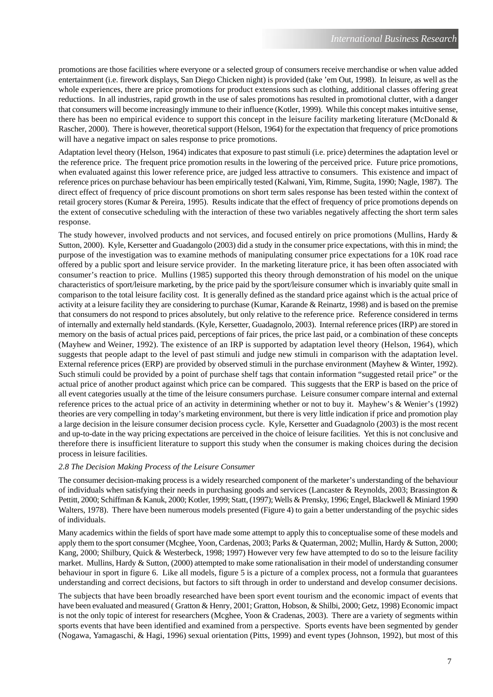promotions are those facilities where everyone or a selected group of consumers receive merchandise or when value added entertainment (i.e. firework displays, San Diego Chicken night) is provided (take 'em Out, 1998). In leisure, as well as the whole experiences, there are price promotions for product extensions such as clothing, additional classes offering great reductions. In all industries, rapid growth in the use of sales promotions has resulted in promotional clutter, with a danger that consumers will become increasingly immune to their influence (Kotler, 1999). While this concept makes intuitive sense, there has been no empirical evidence to support this concept in the leisure facility marketing literature (McDonald & Rascher, 2000). There is however, theoretical support (Helson, 1964) for the expectation that frequency of price promotions will have a negative impact on sales response to price promotions.

Adaptation level theory (Helson, 1964) indicates that exposure to past stimuli (i.e. price) determines the adaptation level or the reference price. The frequent price promotion results in the lowering of the perceived price. Future price promotions, when evaluated against this lower reference price, are judged less attractive to consumers. This existence and impact of reference prices on purchase behaviour has been empirically tested (Kalwani, Yim, Rimme, Sugita, 1990; Nagle, 1987). The direct effect of frequency of price discount promotions on short term sales response has been tested within the context of retail grocery stores (Kumar & Pereira, 1995). Results indicate that the effect of frequency of price promotions depends on the extent of consecutive scheduling with the interaction of these two variables negatively affecting the short term sales response.

The study however, involved products and not services, and focused entirely on price promotions (Mullins, Hardy & Sutton, 2000). Kyle, Kersetter and Guadangolo (2003) did a study in the consumer price expectations, with this in mind; the purpose of the investigation was to examine methods of manipulating consumer price expectations for a 10K road race offered by a public sport and leisure service provider. In the marketing literature price, it has been often associated with consumer's reaction to price. Mullins (1985) supported this theory through demonstration of his model on the unique characteristics of sport/leisure marketing, by the price paid by the sport/leisure consumer which is invariably quite small in comparison to the total leisure facility cost. It is generally defined as the standard price against which is the actual price of activity at a leisure facility they are considering to purchase (Kumar, Karande & Reinartz, 1998) and is based on the premise that consumers do not respond to prices absolutely, but only relative to the reference price. Reference considered in terms of internally and externally held standards. (Kyle, Kersetter, Guadagnolo, 2003). Internal reference prices (IRP) are stored in memory on the basis of actual prices paid, perceptions of fair prices, the price last paid, or a combination of these concepts (Mayhew and Weiner, 1992). The existence of an IRP is supported by adaptation level theory (Helson, 1964), which suggests that people adapt to the level of past stimuli and judge new stimuli in comparison with the adaptation level. External reference prices (ERP) are provided by observed stimuli in the purchase environment (Mayhew & Winter, 1992). Such stimuli could be provided by a point of purchase shelf tags that contain information "suggested retail price" or the actual price of another product against which price can be compared. This suggests that the ERP is based on the price of all event categories usually at the time of the leisure consumers purchase. Leisure consumer compare internal and external reference prices to the actual price of an activity in determining whether or not to buy it. Mayhew's & Wenier's (1992) theories are very compelling in today's marketing environment, but there is very little indication if price and promotion play a large decision in the leisure consumer decision process cycle. Kyle, Kersetter and Guadagnolo (2003) is the most recent and up-to-date in the way pricing expectations are perceived in the choice of leisure facilities. Yet this is not conclusive and therefore there is insufficient literature to support this study when the consumer is making choices during the decision process in leisure facilities.

# *2.8 The Decision Making Process of the Leisure Consumer*

The consumer decision-making process is a widely researched component of the marketer's understanding of the behaviour of individuals when satisfying their needs in purchasing goods and services (Lancaster & Reynolds, 2003; Brassington  $\&$ Pettitt, 2000; Schiffman & Kanuk, 2000; Kotler, 1999; Statt, (1997); Wells & Prensky, 1996; Engel, Blackwell & Miniard 1990 Walters, 1978). There have been numerous models presented (Figure 4) to gain a better understanding of the psychic sides of individuals.

Many academics within the fields of sport have made some attempt to apply this to conceptualise some of these models and apply them to the sport consumer (Mcghee, Yoon, Cardenas, 2003; Parks & Quaterman, 2002; Mullin, Hardy & Sutton, 2000; Kang, 2000; Shilbury, Quick & Westerbeck, 1998; 1997) However very few have attempted to do so to the leisure facility market. Mullins, Hardy & Sutton, (2000) attempted to make some rationalisation in their model of understanding consumer behaviour in sport in figure 6. Like all models, figure 5 is a picture of a complex process, not a formula that guarantees understanding and correct decisions, but factors to sift through in order to understand and develop consumer decisions.

The subjects that have been broadly researched have been sport event tourism and the economic impact of events that have been evaluated and measured ( Gratton & Henry, 2001; Gratton, Hobson, & Shilbi, 2000; Getz, 1998) Economic impact is not the only topic of interest for researchers (Mcghee, Yoon & Cradenas, 2003). There are a variety of segments within sports events that have been identified and examined from a perspective. Sports events have been segmented by gender (Nogawa, Yamagaschi, & Hagi, 1996) sexual orientation (Pitts, 1999) and event types (Johnson, 1992), but most of this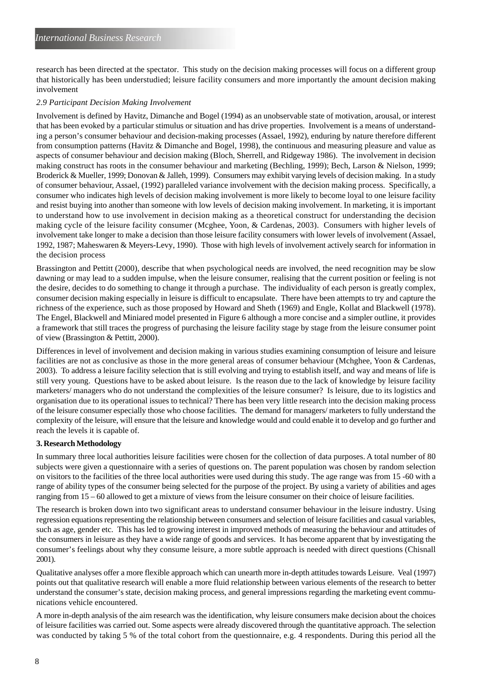research has been directed at the spectator. This study on the decision making processes will focus on a different group that historically has been understudied; leisure facility consumers and more importantly the amount decision making involvement

## *2.9 Participant Decision Making Involvement*

Involvement is defined by Havitz, Dimanche and Bogel (1994) as an unobservable state of motivation, arousal, or interest that has been evoked by a particular stimulus or situation and has drive properties. Involvement is a means of understanding a person's consumer behaviour and decision-making processes (Assael, 1992), enduring by nature therefore different from consumption patterns (Havitz & Dimanche and Bogel, 1998), the continuous and measuring pleasure and value as aspects of consumer behaviour and decision making (Bloch, Sherrell, and Ridgeway 1986). The involvement in decision making construct has roots in the consumer behaviour and marketing (Bechling, 1999); Bech, Larson & Nielson, 1999; Broderick & Mueller, 1999; Donovan & Jalleh, 1999). Consumers may exhibit varying levels of decision making. In a study of consumer behaviour, Assael, (1992) paralleled variance involvement with the decision making process. Specifically, a consumer who indicates high levels of decision making involvement is more likely to become loyal to one leisure facility and resist buying into another than someone with low levels of decision making involvement. In marketing, it is important to understand how to use involvement in decision making as a theoretical construct for understanding the decision making cycle of the leisure facility consumer (Mcghee, Yoon, & Cardenas, 2003). Consumers with higher levels of involvement take longer to make a decision than those leisure facility consumers with lower levels of involvement (Assael, 1992, 1987; Maheswaren & Meyers-Levy, 1990). Those with high levels of involvement actively search for information in the decision process

Brassington and Pettitt (2000), describe that when psychological needs are involved, the need recognition may be slow dawning or may lead to a sudden impulse, when the leisure consumer, realising that the current position or feeling is not the desire, decides to do something to change it through a purchase. The individuality of each person is greatly complex, consumer decision making especially in leisure is difficult to encapsulate. There have been attempts to try and capture the richness of the experience, such as those proposed by Howard and Sheth (1969) and Engle, Kollat and Blackwell (1978). The Engel, Blackwell and Miniared model presented in Figure 6 although a more concise and a simpler outline, it provides a framework that still traces the progress of purchasing the leisure facility stage by stage from the leisure consumer point of view (Brassington & Pettitt, 2000).

Differences in level of involvement and decision making in various studies examining consumption of leisure and leisure facilities are not as conclusive as those in the more general areas of consumer behaviour (Mchghee, Yoon & Cardenas, 2003). To address a leisure facility selection that is still evolving and trying to establish itself, and way and means of life is still very young. Questions have to be asked about leisure. Is the reason due to the lack of knowledge by leisure facility marketers/ managers who do not understand the complexities of the leisure consumer? Is leisure, due to its logistics and organisation due to its operational issues to technical? There has been very little research into the decision making process of the leisure consumer especially those who choose facilities. The demand for managers/ marketers to fully understand the complexity of the leisure, will ensure that the leisure and knowledge would and could enable it to develop and go further and reach the levels it is capable of.

# **3. Research Methodology**

In summary three local authorities leisure facilities were chosen for the collection of data purposes. A total number of 80 subjects were given a questionnaire with a series of questions on. The parent population was chosen by random selection on visitors to the facilities of the three local authorities were used during this study. The age range was from 15 -60 with a range of ability types of the consumer being selected for the purpose of the project. By using a variety of abilities and ages ranging from 15 – 60 allowed to get a mixture of views from the leisure consumer on their choice of leisure facilities.

The research is broken down into two significant areas to understand consumer behaviour in the leisure industry. Using regression equations representing the relationship between consumers and selection of leisure facilities and casual variables, such as age, gender etc. This has led to growing interest in improved methods of measuring the behaviour and attitudes of the consumers in leisure as they have a wide range of goods and services. It has become apparent that by investigating the consumer's feelings about why they consume leisure, a more subtle approach is needed with direct questions (Chisnall 2001).

Qualitative analyses offer a more flexible approach which can unearth more in-depth attitudes towards Leisure. Veal (1997) points out that qualitative research will enable a more fluid relationship between various elements of the research to better understand the consumer's state, decision making process, and general impressions regarding the marketing event communications vehicle encountered.

A more in-depth analysis of the aim research was the identification, why leisure consumers make decision about the choices of leisure facilities was carried out. Some aspects were already discovered through the quantitative approach. The selection was conducted by taking 5 % of the total cohort from the questionnaire, e.g. 4 respondents. During this period all the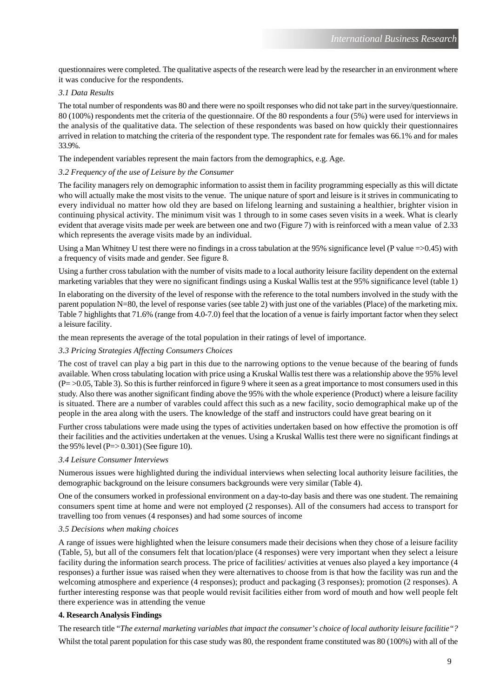questionnaires were completed. The qualitative aspects of the research were lead by the researcher in an environment where it was conducive for the respondents.

## *3.1 Data Results*

The total number of respondents was 80 and there were no spoilt responses who did not take part in the survey/questionnaire. 80 (100%) respondents met the criteria of the questionnaire. Of the 80 respondents a four (5%) were used for interviews in the analysis of the qualitative data. The selection of these respondents was based on how quickly their questionnaires arrived in relation to matching the criteria of the respondent type. The respondent rate for females was 66.1% and for males 33.9%.

The independent variables represent the main factors from the demographics, e.g. Age.

#### *3.2 Frequency of the use of Leisure by the Consumer*

The facility managers rely on demographic information to assist them in facility programming especially as this will dictate who will actually make the most visits to the venue. The unique nature of sport and leisure is it strives in communicating to every individual no matter how old they are based on lifelong learning and sustaining a healthier, brighter vision in continuing physical activity. The minimum visit was 1 through to in some cases seven visits in a week. What is clearly evident that average visits made per week are between one and two (Figure 7) with is reinforced with a mean value of 2.33 which represents the average visits made by an individual.

Using a Man Whitney U test there were no findings in a cross tabulation at the 95% significance level (P value  $=$  >0.45) with a frequency of visits made and gender. See figure 8.

Using a further cross tabulation with the number of visits made to a local authority leisure facility dependent on the external marketing variables that they were no significant findings using a Kuskal Wallis test at the 95% significance level (table 1)

In elaborating on the diversity of the level of response with the reference to the total numbers involved in the study with the parent population N=80, the level of response varies (see table 2) with just one of the variables (Place) of the marketing mix. Table 7 highlights that 71.6% (range from 4.0-7.0) feel that the location of a venue is fairly important factor when they select a leisure facility.

the mean represents the average of the total population in their ratings of level of importance.

#### *3.3 Pricing Strategies Affecting Consumers Choices*

The cost of travel can play a big part in this due to the narrowing options to the venue because of the bearing of funds available. When cross tabulating location with price using a Kruskal Wallis test there was a relationship above the 95% level  $(P = > 0.05$ , Table 3). So this is further reinforced in figure 9 where it seen as a great importance to most consumers used in this study. Also there was another significant finding above the 95% with the whole experience (Product) where a leisure facility is situated. There are a number of varables could affect this such as a new facility, socio demographical make up of the people in the area along with the users. The knowledge of the staff and instructors could have great bearing on it

Further cross tabulations were made using the types of activities undertaken based on how effective the promotion is off their facilities and the activities undertaken at the venues. Using a Kruskal Wallis test there were no significant findings at the 95% level ( $P = > 0.301$ ) (See figure 10).

#### *3.4 Leisure Consumer Interviews*

Numerous issues were highlighted during the individual interviews when selecting local authority leisure facilities, the demographic background on the leisure consumers backgrounds were very similar (Table 4).

One of the consumers worked in professional environment on a day-to-day basis and there was one student. The remaining consumers spent time at home and were not employed (2 responses). All of the consumers had access to transport for travelling too from venues (4 responses) and had some sources of income

#### *3.5 Decisions when making choices*

A range of issues were highlighted when the leisure consumers made their decisions when they chose of a leisure facility (Table, 5), but all of the consumers felt that location/place (4 responses) were very important when they select a leisure facility during the information search process. The price of facilities/ activities at venues also played a key importance (4 responses) a further issue was raised when they were alternatives to choose from is that how the facility was run and the welcoming atmosphere and experience (4 responses); product and packaging (3 responses); promotion (2 responses). A further interesting response was that people would revisit facilities either from word of mouth and how well people felt there experience was in attending the venue

#### **4. Research Analysis Findings**

The research title "*The external marketing variables that impact the consumer's choice of local authority leisure facilitie"?* Whilst the total parent population for this case study was 80, the respondent frame constituted was 80 (100%) with all of the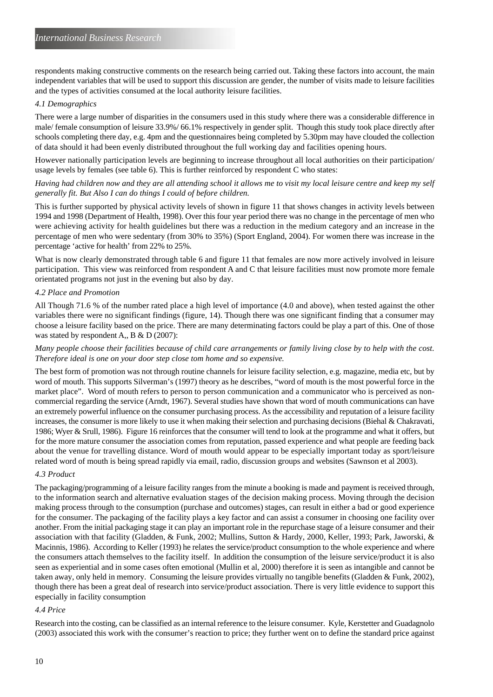respondents making constructive comments on the research being carried out. Taking these factors into account, the main independent variables that will be used to support this discussion are gender, the number of visits made to leisure facilities and the types of activities consumed at the local authority leisure facilities.

# *4.1 Demographics*

There were a large number of disparities in the consumers used in this study where there was a considerable difference in male/ female consumption of leisure 33.9%/ 66.1% respectively in gender split. Though this study took place directly after schools completing there day, e.g. 4pm and the questionnaires being completed by 5.30pm may have clouded the collection of data should it had been evenly distributed throughout the full working day and facilities opening hours.

However nationally participation levels are beginning to increase throughout all local authorities on their participation/ usage levels by females (see table 6). This is further reinforced by respondent C who states:

# *Having had children now and they are all attending school it allows me to visit my local leisure centre and keep my self generally fit. But Also I can do things I could of before children.*

This is further supported by physical activity levels of shown in figure 11 that shows changes in activity levels between 1994 and 1998 (Department of Health, 1998). Over this four year period there was no change in the percentage of men who were achieving activity for health guidelines but there was a reduction in the medium category and an increase in the percentage of men who were sedentary (from 30% to 35%) (Sport England, 2004). For women there was increase in the percentage 'active for health' from 22% to 25%.

What is now clearly demonstrated through table 6 and figure 11 that females are now more actively involved in leisure participation. This view was reinforced from respondent A and C that leisure facilities must now promote more female orientated programs not just in the evening but also by day.

# *4.2 Place and Promotion*

All Though 71.6 % of the number rated place a high level of importance (4.0 and above), when tested against the other variables there were no significant findings (figure, 14). Though there was one significant finding that a consumer may choose a leisure facility based on the price. There are many determinating factors could be play a part of this. One of those was stated by respondent A,, B & D (2007):

# *Many people choose their facilities because of child care arrangements or family living close by to help with the cost. Therefore ideal is one on your door step close tom home and so expensive.*

The best form of promotion was not through routine channels for leisure facility selection, e.g. magazine, media etc, but by word of mouth. This supports Silverman's (1997) theory as he describes, "word of mouth is the most powerful force in the market place". Word of mouth refers to person to person communication and a communicator who is perceived as noncommercial regarding the service (Arndt, 1967). Several studies have shown that word of mouth communications can have an extremely powerful influence on the consumer purchasing process. As the accessibility and reputation of a leisure facility increases, the consumer is more likely to use it when making their selection and purchasing decisions (Biehal & Chakravati, 1986; Wyer & Srull, 1986). Figure 16 reinforces that the consumer will tend to look at the programme and what it offers, but for the more mature consumer the association comes from reputation, passed experience and what people are feeding back about the venue for travelling distance. Word of mouth would appear to be especially important today as sport/leisure related word of mouth is being spread rapidly via email, radio, discussion groups and websites (Sawnson et al 2003).

# *4.3 Product*

The packaging/programming of a leisure facility ranges from the minute a booking is made and payment is received through, to the information search and alternative evaluation stages of the decision making process. Moving through the decision making process through to the consumption (purchase and outcomes) stages, can result in either a bad or good experience for the consumer. The packaging of the facility plays a key factor and can assist a consumer in choosing one facility over another. From the initial packaging stage it can play an important role in the repurchase stage of a leisure consumer and their association with that facility (Gladden, & Funk, 2002; Mullins, Sutton & Hardy, 2000, Keller, 1993; Park, Jaworski, & Macinnis, 1986). According to Keller (1993) he relates the service/product consumption to the whole experience and where the consumers attach themselves to the facility itself. In addition the consumption of the leisure service/product it is also seen as experiential and in some cases often emotional (Mullin et al, 2000) therefore it is seen as intangible and cannot be taken away, only held in memory. Consuming the leisure provides virtually no tangible benefits (Gladden & Funk, 2002), though there has been a great deal of research into service/product association. There is very little evidence to support this especially in facility consumption

# *4.4 Price*

Research into the costing, can be classified as an internal reference to the leisure consumer. Kyle, Kerstetter and Guadagnolo (2003) associated this work with the consumer's reaction to price; they further went on to define the standard price against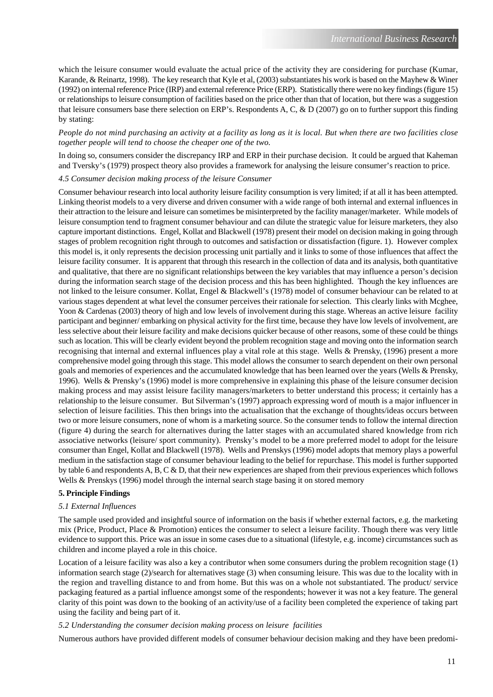which the leisure consumer would evaluate the actual price of the activity they are considering for purchase (Kumar, Karande, & Reinartz, 1998). The key research that Kyle et al, (2003) substantiates his work is based on the Mayhew & Winer (1992) on internal reference Price (IRP) and external reference Price (ERP). Statistically there were no key findings (figure 15) or relationships to leisure consumption of facilities based on the price other than that of location, but there was a suggestion that leisure consumers base there selection on ERP's. Respondents A, C, & D (2007) go on to further support this finding by stating:

# *People do not mind purchasing an activity at a facility as long as it is local. But when there are two facilities close together people will tend to choose the cheaper one of the two.*

In doing so, consumers consider the discrepancy IRP and ERP in their purchase decision. It could be argued that Kaheman and Tversky's (1979) prospect theory also provides a framework for analysing the leisure consumer's reaction to price.

#### *4.5 Consumer decision making process of the leisure Consumer*

Consumer behaviour research into local authority leisure facility consumption is very limited; if at all it has been attempted. Linking theorist models to a very diverse and driven consumer with a wide range of both internal and external influences in their attraction to the leisure and leisure can sometimes be misinterpreted by the facility manager/marketer. While models of leisure consumption tend to fragment consumer behaviour and can dilute the strategic value for leisure marketers, they also capture important distinctions. Engel, Kollat and Blackwell (1978) present their model on decision making in going through stages of problem recognition right through to outcomes and satisfaction or dissatisfaction (figure. 1). However complex this model is, it only represents the decision processing unit partially and it links to some of those influences that affect the leisure facility consumer. It is apparent that through this research in the collection of data and its analysis, both quantitative and qualitative, that there are no significant relationships between the key variables that may influence a person's decision during the information search stage of the decision process and this has been highlighted. Though the key influences are not linked to the leisure consumer. Kollat, Engel & Blackwell's (1978) model of consumer behaviour can be related to at various stages dependent at what level the consumer perceives their rationale for selection. This clearly links with Mcghee, Yoon & Cardenas (2003) theory of high and low levels of involvement during this stage. Whereas an active leisure facility participant and beginner/ embarking on physical activity for the first time, because they have low levels of involvement, are less selective about their leisure facility and make decisions quicker because of other reasons, some of these could be things such as location. This will be clearly evident beyond the problem recognition stage and moving onto the information search recognising that internal and external influences play a vital role at this stage. Wells & Prensky, (1996) present a more comprehensive model going through this stage. This model allows the consumer to search dependent on their own personal goals and memories of experiences and the accumulated knowledge that has been learned over the years (Wells & Prensky, 1996). Wells & Prensky's (1996) model is more comprehensive in explaining this phase of the leisure consumer decision making process and may assist leisure facility managers/marketers to better understand this process; it certainly has a relationship to the leisure consumer. But Silverman's (1997) approach expressing word of mouth is a major influencer in selection of leisure facilities. This then brings into the actualisation that the exchange of thoughts/ideas occurs between two or more leisure consumers, none of whom is a marketing source. So the consumer tends to follow the internal direction (figure 4) during the search for alternatives during the latter stages with an accumulated shared knowledge from rich associative networks (leisure/ sport community). Prensky's model to be a more preferred model to adopt for the leisure consumer than Engel, Kollat and Blackwell (1978). Wells and Prenskys (1996) model adopts that memory plays a powerful medium in the satisfaction stage of consumer behaviour leading to the belief for repurchase. This model is further supported by table 6 and respondents A, B, C & D, that their new experiences are shaped from their previous experiences which follows Wells & Prenskys (1996) model through the internal search stage basing it on stored memory

# **5. Principle Findings**

## *5.1 External Influences*

The sample used provided and insightful source of information on the basis if whether external factors, e.g. the marketing mix (Price, Product, Place & Promotion) entices the consumer to select a leisure facility. Though there was very little evidence to support this. Price was an issue in some cases due to a situational (lifestyle, e.g. income) circumstances such as children and income played a role in this choice.

Location of a leisure facility was also a key a contributor when some consumers during the problem recognition stage (1) information search stage (2)/search for alternatives stage (3) when consuming leisure. This was due to the locality with in the region and travelling distance to and from home. But this was on a whole not substantiated. The product/ service packaging featured as a partial influence amongst some of the respondents; however it was not a key feature. The general clarity of this point was down to the booking of an activity/use of a facility been completed the experience of taking part using the facility and being part of it.

#### *5.2 Understanding the consumer decision making process on leisure facilities*

Numerous authors have provided different models of consumer behaviour decision making and they have been predomi-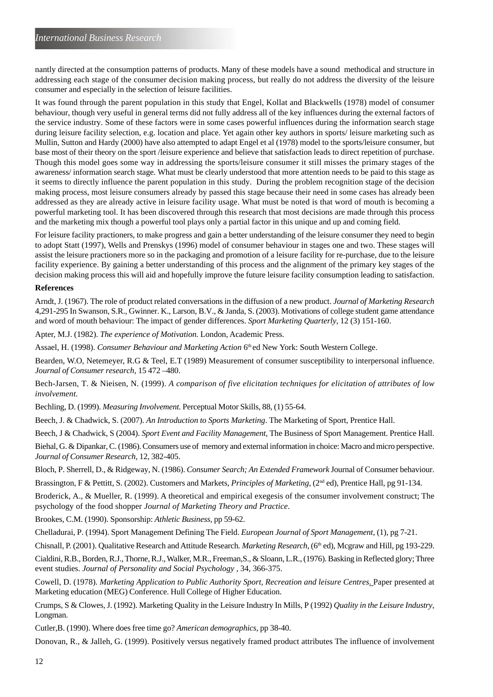nantly directed at the consumption patterns of products. Many of these models have a sound methodical and structure in addressing each stage of the consumer decision making process, but really do not address the diversity of the leisure consumer and especially in the selection of leisure facilities.

It was found through the parent population in this study that Engel, Kollat and Blackwells (1978) model of consumer behaviour, though very useful in general terms did not fully address all of the key influences during the external factors of the service industry. Some of these factors were in some cases powerful influences during the information search stage during leisure facility selection, e.g. location and place. Yet again other key authors in sports/ leisure marketing such as Mullin, Sutton and Hardy (2000) have also attempted to adapt Engel et al (1978) model to the sports/leisure consumer, but base most of their theory on the sport /leisure experience and believe that satisfaction leads to direct repetition of purchase. Though this model goes some way in addressing the sports/leisure consumer it still misses the primary stages of the awareness/ information search stage. What must be clearly understood that more attention needs to be paid to this stage as it seems to directly influence the parent population in this study. During the problem recognition stage of the decision making process, most leisure consumers already by passed this stage because their need in some cases has already been addressed as they are already active in leisure facility usage. What must be noted is that word of mouth is becoming a powerful marketing tool. It has been discovered through this research that most decisions are made through this process and the marketing mix though a powerful tool plays only a partial factor in this unique and up and coming field.

For leisure facility practioners, to make progress and gain a better understanding of the leisure consumer they need to begin to adopt Statt (1997), Wells and Prenskys (1996) model of consumer behaviour in stages one and two. These stages will assist the leisure practioners more so in the packaging and promotion of a leisure facility for re-purchase, due to the leisure facility experience. By gaining a better understanding of this process and the alignment of the primary key stages of the decision making process this will aid and hopefully improve the future leisure facility consumption leading to satisfaction.

# **References**

Arndt, J. (1967). The role of product related conversations in the diffusion of a new product. *Journal of Marketing Research* 4,291-295 In Swanson, S.R., Gwinner. K., Larson, B.V., & Janda, S. (2003). Motivations of college student game attendance and word of mouth behaviour: The impact of gender differences. *Sport Marketing Quarterly*, 12 (3) 151-160.

Apter, M.J. (1982). *The experience of Motivation.* London, Academic Press.

Assael, H. (1998). *Consumer Behaviour and Marketing Action* 6<sup>th</sup> ed New York: South Western College.

Bearden, W.O, Netemeyer, R.G & Teel, E.T (1989) Measurement of consumer susceptibility to interpersonal influence. *Journal of Consumer research*, 15 472 –480.

Bech-Jarsen, T. & Nieisen, N. (1999). *A comparison of five elicitation techniques for elicitation of attributes of low involvement.*

Bechling, D. (1999). *Measuring Involvement.* Perceptual Motor Skills, 88, (1) 55-64.

Beech, J. & Chadwick, S. (2007). *An Introduction to Sports Marketing*. The Marketing of Sport, Prentice Hall.

Beech, J & Chadwick, S (2004). *Sport Event and Facility Management*, The Business of Sport Management. Prentice Hall.

Biehal, G. & Dipankar, C. (1986). Consumers use of memory and external information in choice: Macro and micro perspective. *Journal of Consumer Research,* 12, 382-405.

Bloch, P. Sherrell, D., & Ridgeway, N. (1986). *Consumer Search; An Extended Framework* Journal of Consumer behaviour.

Brassington, F & Pettitt, S. (2002). Customers and Markets, *Principles of Marketing*, (2nd ed), Prentice Hall, pg 91-134.

Broderick, A., & Mueller, R. (1999). A theoretical and empirical exegesis of the consumer involvement construct; The psychology of the food shopper *Journal of Marketing Theory and Practice*.

Brookes, C.M. (1990). Sponsorship: *Athletic Business,* pp 59-62.

Chelladurai, P. (1994). Sport Management Defining The Field. *European Journal of Sport Management*, (1), pg 7-21.

Chisnall, P. (2001). Qualitative Research and Attitude Research*. Marketing Research*, (6th ed), Mcgraw and Hill, pg 193-229.

Cialdini, R.B., Borden, R.J., Thorne, R.J., Walker, M.R., Freeman,S., & Sloann, L.R., (1976). Basking in Reflected glory; Three event studies. *Journal of Personality and Social Psychology* , 34, 366-375.

Cowell, D. (1978). *Marketing Application to Public Authority Sport, Recreation and leisure Centres.* Paper presented at Marketing education (MEG) Conference. Hull College of Higher Education.

Crumps, S & Clowes, J. (1992). Marketing Quality in the Leisure Industry In Mills, P (1992) *Quality in the Leisure Industry*, Longman.

Cutler,B. (1990). Where does free time go? *American demographics,* pp 38-40.

Donovan, R., & Jalleh, G. (1999). Positively versus negatively framed product attributes The influence of involvement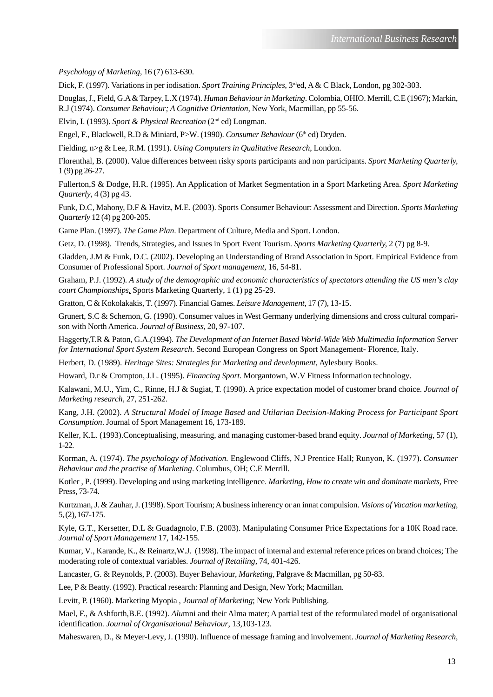*Psychology of Marketing*, 16 (7) 613-630.

Dick, F. (1997). Variations in per iodisation. *Sport Training Principles*, 3<sup>rd</sup>ed, A & C Black, London, pg 302-303.

Douglas, J., Field, G.A & Tarpey, L.X (1974). *Human Behaviour in Marketing*. Colombia, OHIO. Merrill, C.E (1967); Markin, R.J (1974). *Consumer Behaviour; A Cognitive Orientation,* New York, Macmillan, pp 55-56.

Elvin, I. (1993). *Sport & Physical Recreation* (2nd ed) Longman.

Engel, F., Blackwell, R.D & Miniard, P>W. (1990). *Consumer Behaviour* (6<sup>th</sup> ed) Dryden.

Fielding, n>g & Lee, R.M. (1991). *Using Computers in Qualitative Research*, London.

Florenthal, B. (2000). Value differences between risky sports participants and non participants. *Sport Marketing Quarterly,* 1 (9) pg 26-27.

Fullerton,S & Dodge, H.R. (1995). An Application of Market Segmentation in a Sport Marketing Area. *Sport Marketing Quarterly,* 4 (3) pg 43.

Funk, D.C, Mahony, D.F & Havitz, M.E. (2003). Sports Consumer Behaviour: Assessment and Direction. *Sports Marketing Quarterly* 12 (4) pg 200-205.

Game Plan. (1997). *The Game Plan*. Department of Culture, Media and Sport. London.

Getz, D. (1998). Trends, Strategies, and Issues in Sport Event Tourism. *Sports Marketing Quarterly,* 2 (7) pg 8-9.

Gladden, J.M & Funk, D.C. (2002). Developing an Understanding of Brand Association in Sport. Empirical Evidence from Consumer of Professional Sport. *Journal of Sport management,* 16, 54-81.

Graham, P.J. (1992). *A study of the demographic and economic characteristics of spectators attending the US men's clay court Championships.* Sports Marketing Quarterly, 1 (1) pg 25-29.

Gratton, C & Kokolakakis, T. (1997). Financial Games. *Leisure Management,* 17 (7), 13-15.

Grunert, S.C & Schernon, G. (1990). Consumer values in West Germany underlying dimensions and cross cultural comparison with North America. *Journal of Business,* 20, 97-107.

Haggerty,T.R & Paton, G.A.(1994). *The Development of an Internet Based World-Wide Web Multimedia Information Server for International Sport System Research*. Second European Congress on Sport Management- Florence, Italy.

Herbert, D. (1989). *Heritage Sites: Strategies for Marketing and development,* Aylesbury Books.

Howard, D.r & Crompton, J.L. (1995). *Financing Sport.* Morgantown, W.V Fitness Information technology.

Kalawani, M.U., Yim, C., Rinne, H.J & Sugiat, T. (1990). A price expectation model of customer brand choice. *Journal of Marketing research*, 27, 251-262.

Kang, J.H. (2002). *A Structural Model of Image Based and Utilarian Decision-Making Process for Participant Sport Consumption*. Journal of Sport Management 16, 173-189.

Keller, K.L. (1993).Conceptualising, measuring, and managing customer-based brand equity. *Journal of Marketing*, 57 (1), 1-22.

Korman, A. (1974). *The psychology of Motivation.* Englewood Cliffs, N.J Prentice Hall; Runyon, K. (1977). *Consumer Behaviour and the practise of Marketing*. Columbus, OH; C.E Merrill.

Kotler , P. (1999). Developing and using marketing intelligence. *Marketing, How to create win and dominate markets,* Free Press, 73-74.

Kurtzman, J. & Zauhar, J. (1998). Sport Tourism; A business inherency or an innat compulsion. *Visions of Vacation marketing*, 5, (2), 167-175.

Kyle, G.T., Kersetter, D.L & Guadagnolo, F.B. (2003). Manipulating Consumer Price Expectations for a 10K Road race. *Journal of Sport Management* 17, 142-155.

Kumar, V., Karande, K., & Reinartz,W.J. (1998). The impact of internal and external reference prices on brand choices; The moderating role of contextual variables. *Journal of Retailing*, 74, 401-426.

Lancaster, G. & Reynolds, P. (2003). Buyer Behaviour, *Marketing,* Palgrave & Macmillan, pg 50-83.

Lee, P & Beatty. (1992). Practical research: Planning and Design, New York; Macmillan.

Levitt, P. (1960). Marketing Myopia , *Journal of Marketing*; New York Publishing.

Mael, F., & Ashforth,B.E. (1992). *Alu*mni and their Alma mater; A partial test of the reformulated model of organisational identification*. Journal of Organisational Behaviour*, 13,103-123.

Maheswaren, D., & Meyer-Levy, J. (1990). Influence of message framing and involvement. *Journal of Marketing Research*,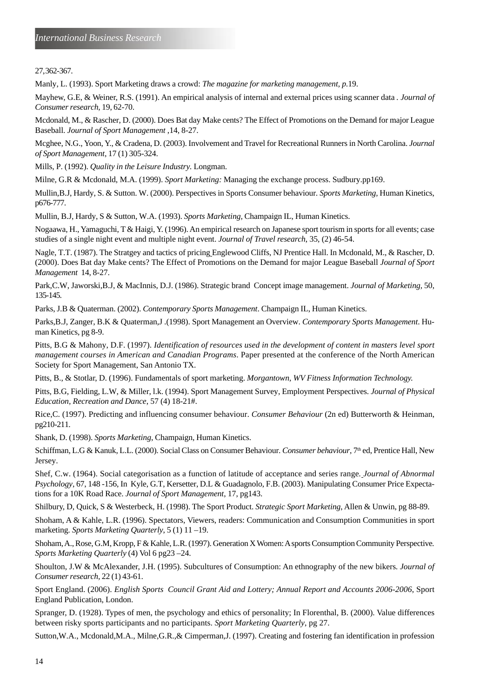27, 362-367.

Manly, L. (1993). Sport Marketing draws a crowd: *The magazine for marketing management, p*.19.

Mayhew, G.E, & Weiner, R.S. (1991). An empirical analysis of internal and external prices using scanner data *. Journal of Consumer research,* 19, 62-70.

Mcdonald, M., & Rascher, D. (2000). Does Bat day Make cents? The Effect of Promotions on the Demand for major League Baseball. *Journal of Sport Management* ,14, 8-27.

Mcghee, N.G., Yoon, Y., & Cradena, D. (2003). Involvement and Travel for Recreational Runners in North Carolina. *Journal of Sport Management*, 17 (1) 305-324.

Mills, P. (1992). *Quality in the Leisure Industry.* Longman.

Milne, G.R & Mcdonald, M.A. (1999). *Sport Marketing:* Managing the exchange process. Sudbury.pp169.

Mullin,B.J, Hardy, S. & Sutton. W. (2000). Perspectives in Sports Consumer behaviour*. Sports Marketing,* Human Kinetics, p676-777.

Mullin, B.J, Hardy, S & Sutton, W.A. (1993). *Sports Marketing,* Champaign IL, Human Kinetics.

Nogaawa, H., Yamaguchi, T & Haigi, Y. (1996). An empirical research on Japanese sport tourism in sports for all events; case studies of a single night event and multiple night event. *Journal of Travel research*, 35, (2) 46-54.

Nagle, T.T. (1987). The Stratgey and tactics of pricing Englewood Cliffs, NJ Prentice Hall. In Mcdonald, M., & Rascher, D. (2000). Does Bat day Make cents? The Effect of Promotions on the Demand for major League Baseball *Journal of Sport Management* 14, 8-27.

Park,C.W, Jaworski,B.J, & MacInnis, D.J. (1986). Strategic brand Concept image management. *Journal of Marketing,* 50, 135-145.

Parks, J.B & Quaterman. (2002). *Contemporary Sports Management*. Champaign IL, Human Kinetics.

Parks,B.J, Zanger, B.K & Quaterman,J .(1998). Sport Management an Overview. *Contemporary Sports Management*. Human Kinetics, pg 8-9.

Pitts, B.G & Mahony, D.F. (1997). *Identification of resources used in the development of content in masters level sport management courses in American and Canadian Programs*. Paper presented at the conference of the North American Society for Sport Management, San Antonio TX.

Pitts, B., & Stotlar, D. (1996). Fundamentals of sport marketing. *Morgantown, WV Fitness Information Technology.*

Pitts, B.G, Fielding, L.W, & Miller, l.k. (1994). Sport Management Survey, Employment Perspectives. *Journal of Physical Education, Recreation and Dance*, 57 (4) 18-21#.

Rice,C. (1997). Predicting and influencing consumer behaviour. *Consumer Behaviour* (2n ed) Butterworth & Heinman, pg210-211.

Shank, D. (1998). *Sports Marketing*, Champaign, Human Kinetics.

Schiffman, L.G & Kanuk, L.L. (2000). Social Class on Consumer Behaviour. *Consumer behaviour*, 7<sup>th</sup> ed, Prentice Hall, New Jersey.

Shef, C.w. (1964). Social categorisation as a function of latitude of acceptance and series range*. Journal of Abnormal Psychology*, 67, 148 -156, In Kyle, G.T, Kersetter, D.L & Guadagnolo, F.B. (2003). Manipulating Consumer Price Expectations for a 10K Road Race. *Journal of Sport Management*, 17, pg143.

Shilbury, D, Quick, S & Westerbeck, H. (1998). The Sport Product. *Strategic Sport Marketing*, Allen & Unwin, pg 88-89.

Shoham, A & Kahle, L.R. (1996). Spectators, Viewers, readers: Communication and Consumption Communities in sport marketing*. Sports Marketing Quarterly*, 5 (1) 11 –19.

Shoham, A., Rose, G.M, Kropp, F & Kahle, L.R. (1997). Generation X Women: A sports Consumption Community Perspective*. Sports Marketing Quarterly* (4) Vol 6 pg23 –24.

Shoulton, J.W & McAlexander, J.H. (1995). Subcultures of Consumption: An ethnography of the new bikers*. Journal of Consumer research,* 22 (1) 43-61.

Sport England. (2006). *English Sports Council Grant Aid and Lottery; Annual Report and Accounts 2006-2006*, Sport England Publication, London.

Spranger, D. (1928). Types of men, the psychology and ethics of personality; In Florenthal, B. (2000). Value differences between risky sports participants and no participants. *Sport Marketing Quarterly*, pg 27.

Sutton,W.A., Mcdonald,M.A., Milne,G.R.,& Cimperman,J. (1997). Creating and fostering fan identification in profession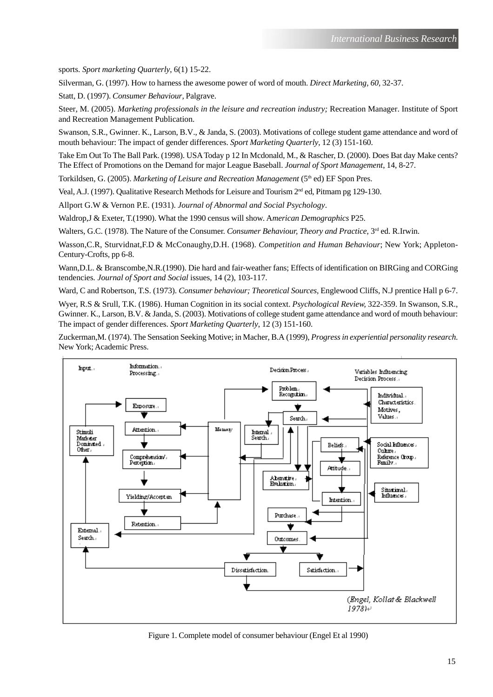sports. *Sport marketing Quarterly*, 6(1) 15-22.

Silverman, G. (1997). How to harness the awesome power of word of mouth. *Direct Marketing, 60,* 32-37.

Statt, D. (1997). *Consumer Behaviour,* Palgrave.

Steer, M. (2005). *Marketing professionals in the leisure and recreation industry;* Recreation Manager. Institute of Sport and Recreation Management Publication.

Swanson, S.R., Gwinner. K., Larson, B.V., & Janda, S. (2003). Motivations of college student game attendance and word of mouth behaviour: The impact of gender differences. *Sport Marketing Quarterly*, 12 (3) 151-160.

Take Em Out To The Ball Park. (1998). USA Today p 12 In Mcdonald, M., & Rascher, D. (2000). Does Bat day Make cents? The Effect of Promotions on the Demand for major League Baseball. *Journal of Sport Management*, 14, 8-27.

Torkildsen, G. (2005). *Marketing of Leisure and Recreation Management* (5th ed) EF Spon Pres.

Veal, A.J. (1997). Qualitative Research Methods for Leisure and Tourism 2nd ed, Pitmam pg 129-130.

Allport G.W & Vernon P.E. (1931). *Journal of Abnormal and Social Psychology*.

Waldrop,J & Exeter, T.(1990). What the 1990 census will show*.* A*merican Demographics* P25.

Walters, G.C. (1978). The Nature of the Consumer. *Consumer Behaviour, Theory and Practice*, 3<sup>rd</sup> ed. R.Irwin.

Wasson,C.R, Sturvidnat,F.D & McConaughy,D.H. (1968). *Competition and Human Behaviour*; New York; Appleton-Century-Crofts, pp 6-8.

Wann,D.L. & Branscombe,N.R.(1990). Die hard and fair-weather fans; Effects of identification on BIRGing and CORGing tendencies*. Journal of Sport and Social* issues, 14 (2), 103-117.

Ward, C and Robertson, T.S. (1973). *Consumer behaviour; Theoretical Sources,* Englewood Cliffs, N.J prentice Hall p 6-7.

Wyer, R.S & Srull, T.K. (1986). Human Cognition in its social context. *Psychological Review,* 322-359. In Swanson, S.R., Gwinner. K., Larson, B.V. & Janda, S. (2003). Motivations of college student game attendance and word of mouth behaviour: The impact of gender differences. *Sport Marketing Quarterly*, 12 (3) 151-160.

Zuckerman,M. (1974). The Sensation Seeking Motive; in Macher, B.A (1999), *Progress in experiential personality research*. New York; Academic Press.



Figure 1. Complete model of consumer behaviour (Engel Et al 1990)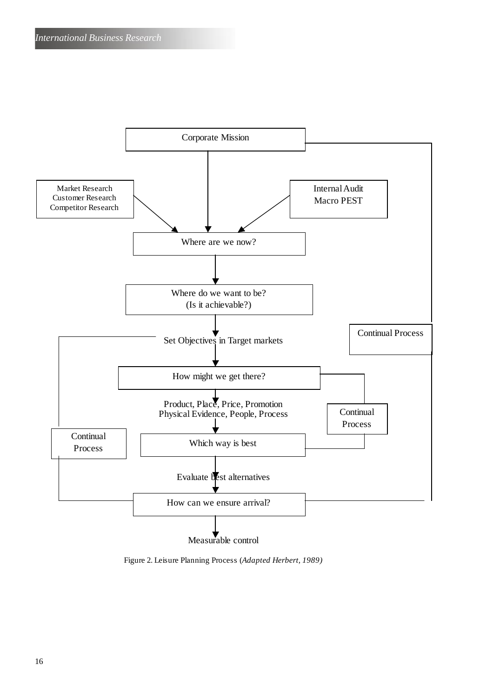

Figure 2. Leisure Planning Process (*Adapted Herbert, 1989)*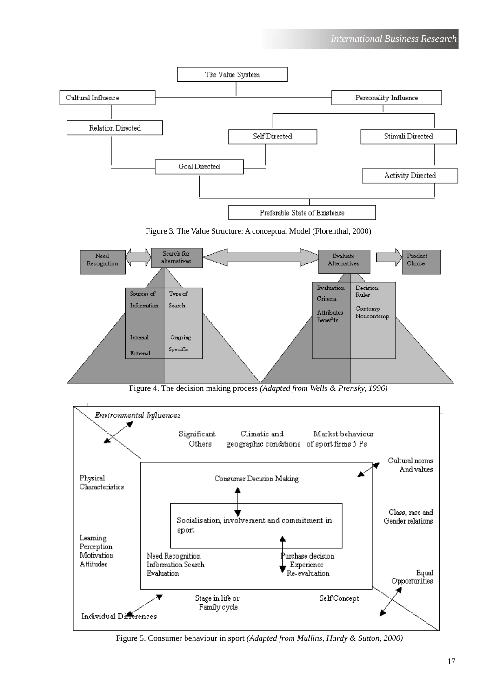

Figure 3. The Value Structure: A conceptual Model (Florenthal, 2000)



Figure 4. The decision making process *(Adapted from Wells & Prensky, 1996)*



Figure 5. Consumer behaviour in sport *(Adapted from Mullins, Hardy & Sutton, 2000)*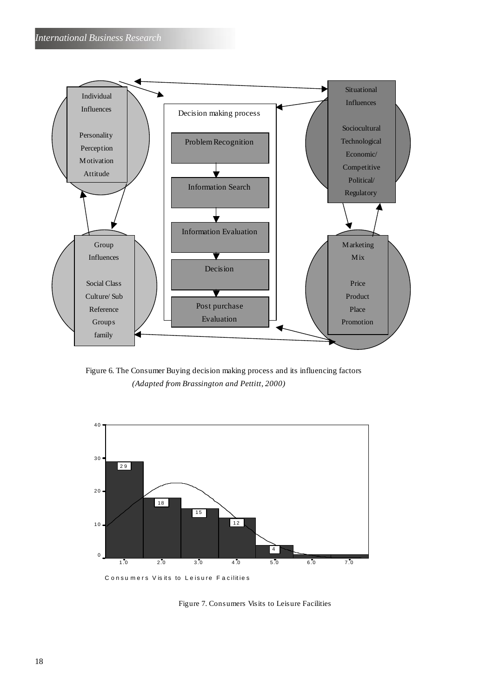

 Figure 6. The Consumer Buying decision making process and its influencing factors *(Adapted from Brassington and Pettitt, 2000)*



Consumers Visits to Leisure Facilities

Figure 7. Consumers Visits to Leisure Facilities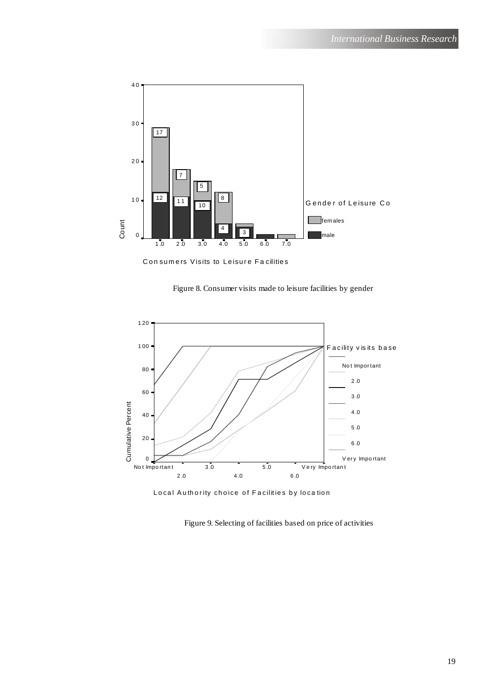

Con sumers Visits to Leisure Facilities







Figure 9. Selecting of facilities based on price of activities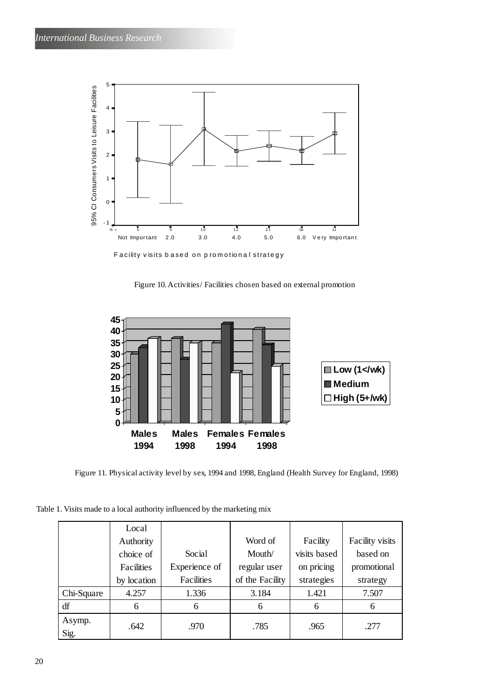

Facility visits based on promotional strategy

Figure 10. Activities/ Facilities chosen based on external promotion



Figure 11. Physical activity level by sex, 1994 and 1998, England (Health Survey for England, 1998)

| Table 1. Visits made to a local authority influenced by the marketing mix |  |
|---------------------------------------------------------------------------|--|
|---------------------------------------------------------------------------|--|

|                | Local       |               |                 |              |                 |
|----------------|-------------|---------------|-----------------|--------------|-----------------|
|                | Authority   |               | Word of         | Facility     | Facility visits |
|                | choice of   | Social        | Mouth/          | visits based | based on        |
|                | Facilities  | Experience of | regular user    | on pricing   | promotional     |
|                | by location | Facilities    | of the Facility | strategies   | strategy        |
| Chi-Square     | 4.257       | 1.336         | 3.184           | 1.421        | 7.507           |
| df             | 6           | 6             | 6               | 6            | 6               |
| Asymp.<br>Sig. | .642        | .970          | .785            | .965         | .277            |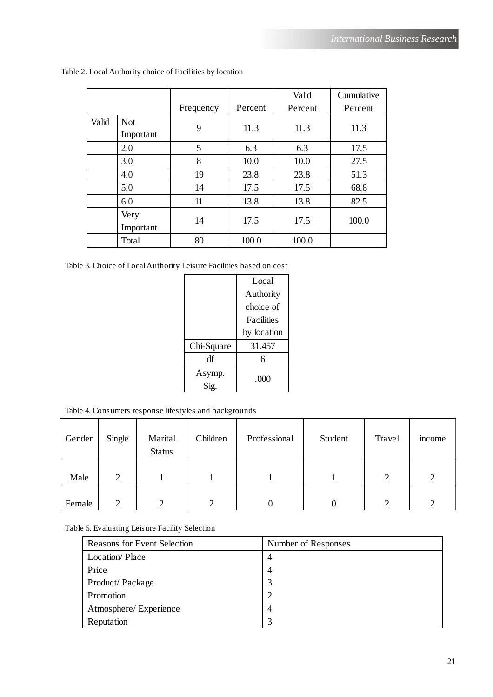|       |            |           |         | Valid   | Cumulative |
|-------|------------|-----------|---------|---------|------------|
|       |            | Frequency | Percent | Percent | Percent    |
| Valid | <b>Not</b> | 9         | 11.3    | 11.3    | 11.3       |
|       | Important  |           |         |         |            |
|       | 2.0        | 5         | 6.3     | 6.3     | 17.5       |
|       | 3.0        | 8         | 10.0    | 10.0    | 27.5       |
|       | 4.0        | 19        | 23.8    | 23.8    | 51.3       |
|       | 5.0        | 14        | 17.5    | 17.5    | 68.8       |
|       | 6.0        | 11        | 13.8    | 13.8    | 82.5       |
|       | Very       | 14        | 17.5    | 17.5    | 100.0      |
|       | Important  |           |         |         |            |
|       | Total      | 80        | 100.0   | 100.0   |            |

Table 2. Local Authority choice of Facilities by location

Table 3. Choice of Local Authority Leisure Facilities based on cost

|            | Local             |
|------------|-------------------|
|            | Authority         |
|            | choice of         |
|            | <b>Facilities</b> |
|            | by location       |
| Chi-Square | 31.457            |
| df         | 6                 |
| Asymp.     | .000              |
| Si         |                   |

Table 4. Consumers response lifestyles and backgrounds

| Gender | Single | Marital<br><b>Status</b> | Children | Professional | Student | Travel | income |
|--------|--------|--------------------------|----------|--------------|---------|--------|--------|
| Male   | 2      |                          |          |              |         | ↑      | 2      |
| Female | ↑      | ◠                        | ↑        |              |         | ↑      | C      |

Table 5. Evaluating Leisure Facility Selection

| <b>Reasons for Event Selection</b> | Number of Responses |
|------------------------------------|---------------------|
| Location/Place                     | $\overline{4}$      |
| Price                              | $\overline{4}$      |
| Product/Package                    | 3                   |
| Promotion                          | 2                   |
| Atmosphere/ Experience             | $\overline{4}$      |
| Reputation                         |                     |